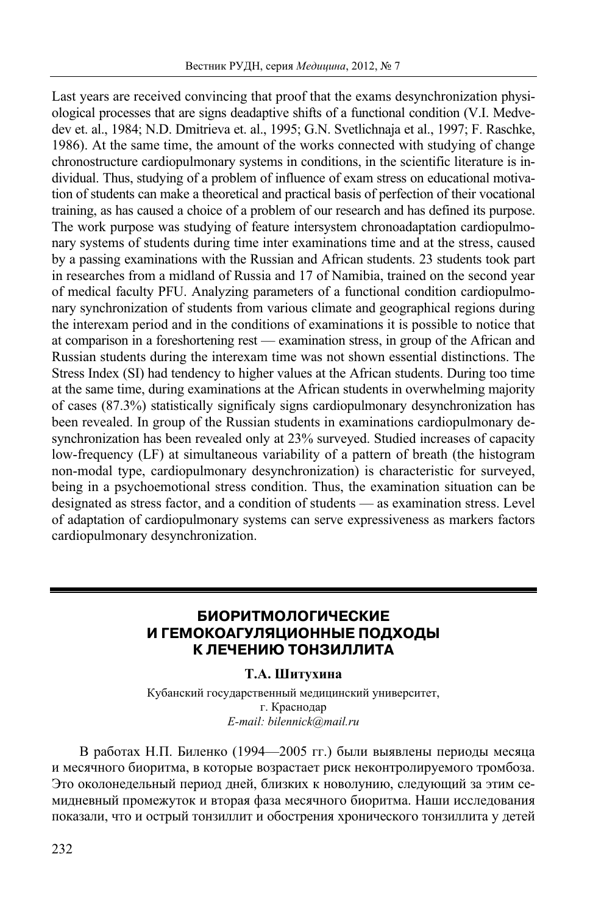Last years are received convincing that proof that the exams desynchronization physiological processes that are signs deadaptive shifts of a functional condition (V.I. Medvedev et. al., 1984; N.D. Dmitrieva et. al., 1995; G.N. Svetlichnaja et al., 1997; F. Raschke, 1986). At the same time, the amount of the works connected with studying of change chronostructure cardiopulmonary systems in conditions, in the scientific literature is individual. Thus, studying of a problem of influence of exam stress on educational motivation of students can make a theoretical and practical basis of perfection of their vocational training, as has caused a choice of a problem of our research and has defined its purpose. The work purpose was studying of feature intersystem chronoadaptation cardiopulmonary systems of students during time inter examinations time and at the stress, caused by a passing examinations with the Russian and African students. 23 students took part in researches from a midland of Russia and 17 of Namibia, trained on the second year of medical faculty PFU. Analyzing parameters of a functional condition cardiopulmonary synchronization of students from various climate and geographical regions during the interexam period and in the conditions of examinations it is possible to notice that at comparison in a foreshortening rest — examination stress, in group of the African and Russian students during the interexam time was not shown essential distinctions. The Stress Index (SI) had tendency to higher values at the African students. During too time at the same time, during examinations at the African students in overwhelming majority of cases (87.3%) statistically significaly signs cardiopulmonary desynchronization has been revealed. In group of the Russian students in examinations cardiopulmonary desynchronization has been revealed only at 23% surveyed. Studied increases of capacity low-frequency (LF) at simultaneous variability of a pattern of breath (the histogram non-modal type, cardiopulmonary desynchronization) is characteristic for surveyed, being in a psychoemotional stress condition. Thus, the examination situation can be designated as stress factor, and a condition of students — as examination stress. Level of adaptation of cardiopulmonary systems can serve expressiveness as markers factors cardiopulmonary desynchronization.

## **БИОРИТМОЛОГИЧЕСКИЕ И ГЕМОКОАГУЛЯЦИОННЫЕ ПОДХОДЫ К ЛЕЧЕНИЮ ТОНЗИЛЛИТА**

#### **Т.А. Шитухина**

Кубанский государственный медицинский университет, г. Краснодар *E-mail: bilennick@mail.ru* 

В работах Н.П. Биленко (1994—2005 гг.) были выявлены периоды месяца и месячного биоритма, в которые возрастает риск неконтролируемого тромбоза. Это околонедельный период дней, близких к новолунию, следующий за этим семидневный промежуток и вторая фаза месячного биоритма. Наши исследования показали, что и острый тонзиллит и обострения хронического тонзиллита у детей